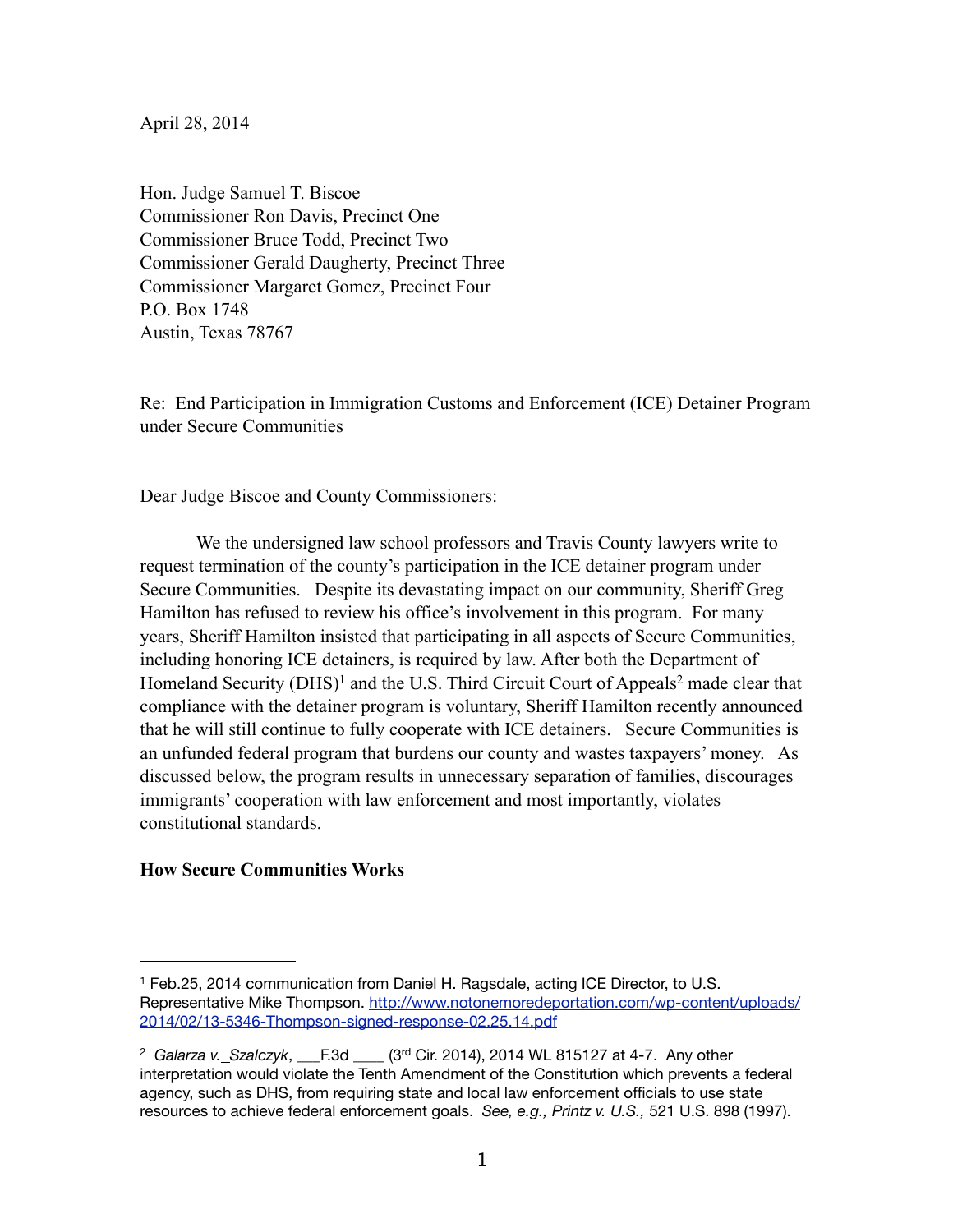April 28, 2014

Hon. Judge Samuel T. Biscoe Commissioner Ron Davis, Precinct One Commissioner Bruce Todd, Precinct Two Commissioner Gerald Daugherty, Precinct Three Commissioner Margaret Gomez, Precinct Four P.O. Box 1748 Austin, Texas 78767

Re: End Participation in Immigration Customs and Enforcement (ICE) Detainer Program under Secure Communities

Dear Judge Biscoe and County Commissioners:

We the undersigned law school professors and Travis County lawyers write to request termination of the county's participation in the ICE detainer program under Secure Communities. Despite its devastating impact on our community, Sheriff Greg Hamilton has refused to review his office's involvement in this program. For many years, Sheriff Hamilton insisted that participating in all aspects of Secure Communities, including honoring ICE detainers, is required by law. After both the Department of Homeland Security (DHS)<sup>1</sup> and the U.S. Third Circuit Court of Appeals<sup>2</sup> made clear that compliance with the detainer program is voluntary, Sheriff Hamilton recently announced that he will still continue to fully cooperate with ICE detainers. Secure Communities is an unfunded federal program that burdens our county and wastes taxpayers' money. As discussed below, the program results in unnecessary separation of families, discourages immigrants' cooperation with law enforcement and most importantly, violates constitutional standards.

## **How Secure Communities Works**

<span id="page-0-0"></span><sup>1</sup> Feb.25, 2014 communication from Daniel H. Ragsdale, acting ICE Director, to U.S. Representative Mike Thompson. [http://www.notonemoredeportation.com/wp-content/uploads/](http://www.notonemoredeportation.com/wp-content/uploads/2014/02/13-5346-Thompson-signed-response-02.25.14.pdf) [2014/02/13-5346-Thompson-signed-response-02.25.14.pdf](http://www.notonemoredeportation.com/wp-content/uploads/2014/02/13-5346-Thompson-signed-response-02.25.14.pdf)

<span id="page-0-1"></span><sup>&</sup>lt;sup>2</sup> Galarza v. Szalczyk,  $E$ .3d  $(3^{rd}$  Cir. 2014), 2014 WL 815127 at 4-7. Any other interpretation would violate the Tenth Amendment of the Constitution which prevents a federal agency, such as DHS, from requiring state and local law enforcement officials to use state resources to achieve federal enforcement goals. *See, e.g., Printz v. U.S.,* 521 U.S. 898 (1997).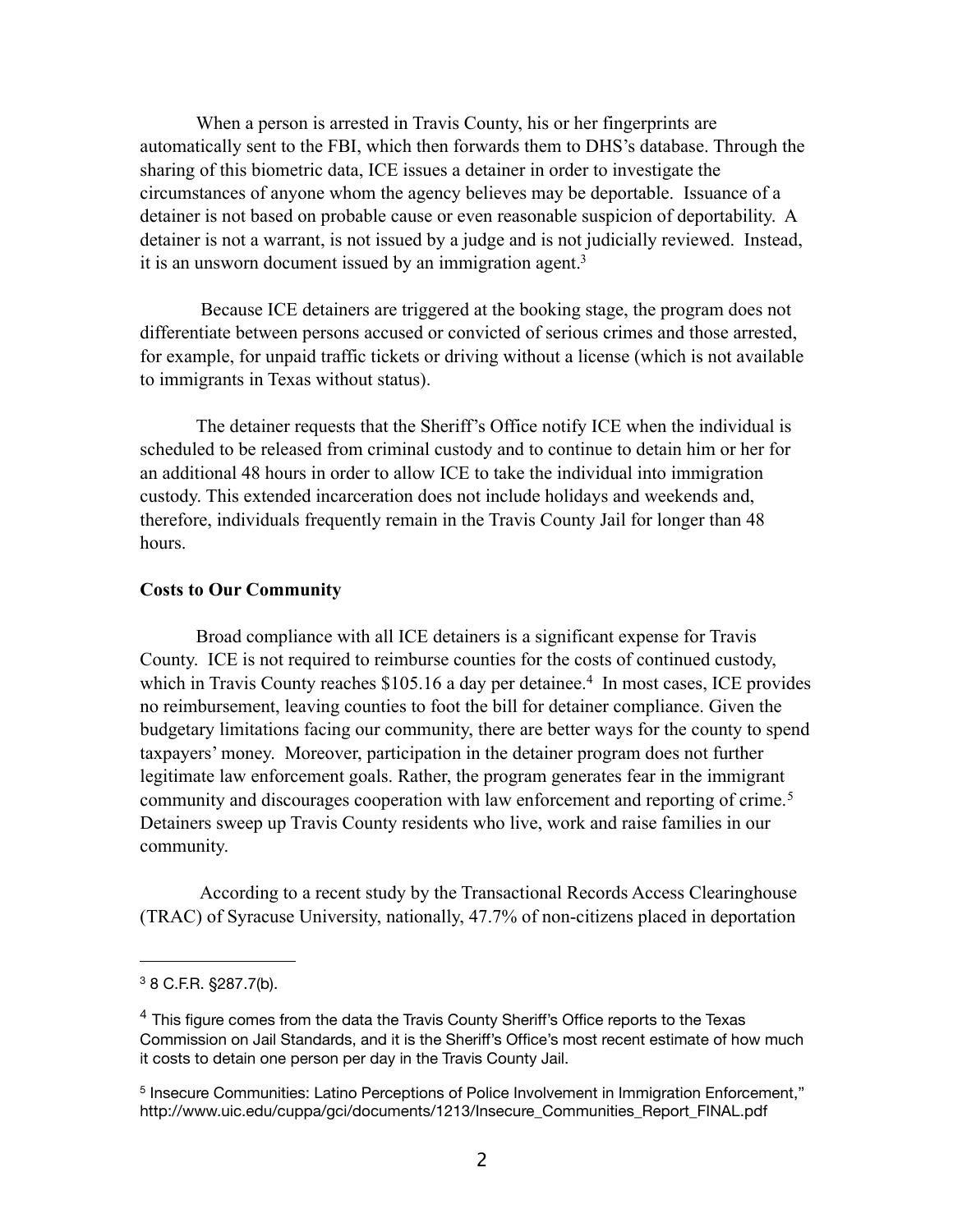When a person is arrested in Travis County, his or her fingerprints are automatically sent to the FBI, which then forwards them to DHS's database. Through the sharing of this biometric data, ICE issues a detainer in order to investigate the circumstances of anyone whom the agency believes may be deportable. Issuance of a detainer is not based on probable cause or even reasonable suspicion of deportability. A detainer is not a warrant, is not issued by a judge and is not judicially reviewed. Instead, it is an unsworn document issued by an immigration agent.<sup>3</sup>

 Because ICE detainers are triggered at the booking stage, the program does not differentiate between persons accused or convicted of serious crimes and those arrested, for example, for unpaid traffic tickets or driving without a license (which is not available to immigrants in Texas without status).

The detainer requests that the Sheriff's Office notify ICE when the individual is scheduled to be released from criminal custody and to continue to detain him or her for an additional 48 hours in order to allow ICE to take the individual into immigration custody. This extended incarceration does not include holidays and weekends and, therefore, individuals frequently remain in the Travis County Jail for longer than 48 hours.

#### **Costs to Our Community**

Broad compliance with all ICE detainers is a significant expense for Travis County. ICE is not required to reimburse counties for the costs of continued custody, which in Travis County reaches \$105.16 a day per detainee.<sup>4</sup> In most cases, ICE provides no reimbursement, leaving counties to foot the bill for detainer compliance. Given the budgetary limitations facing our community, there are better ways for the county to spend taxpayers' money. Moreover, participation in the detainer program does not further legitimate law enforcement goals. Rather, the program generates fear in the immigrant community and discourages cooperation with law enforcement and reporting of crime.<sup>[5](#page-1-2)</sup> Detainers sweep up Travis County residents who live, work and raise families in our community.

 According to a recent study by the Transactional Records Access Clearinghouse (TRAC) of Syracuse University, nationally, 47.7% of non-citizens placed in deportation

<span id="page-1-0"></span><sup>3 8</sup> C.F.R. §287.7(b).

<span id="page-1-1"></span> $4$  This figure comes from the data the Travis County Sheriff's Office reports to the Texas Commission on Jail Standards, and it is the Sheriff's Office's most recent estimate of how much it costs to detain one person per day in the Travis County Jail.

<span id="page-1-2"></span><sup>&</sup>lt;sup>5</sup> Insecure Communities: Latino Perceptions of Police Involvement in Immigration Enforcement." http://www.uic.edu/cuppa/gci/documents/1213/Insecure\_Communities\_Report\_FINAL.pdf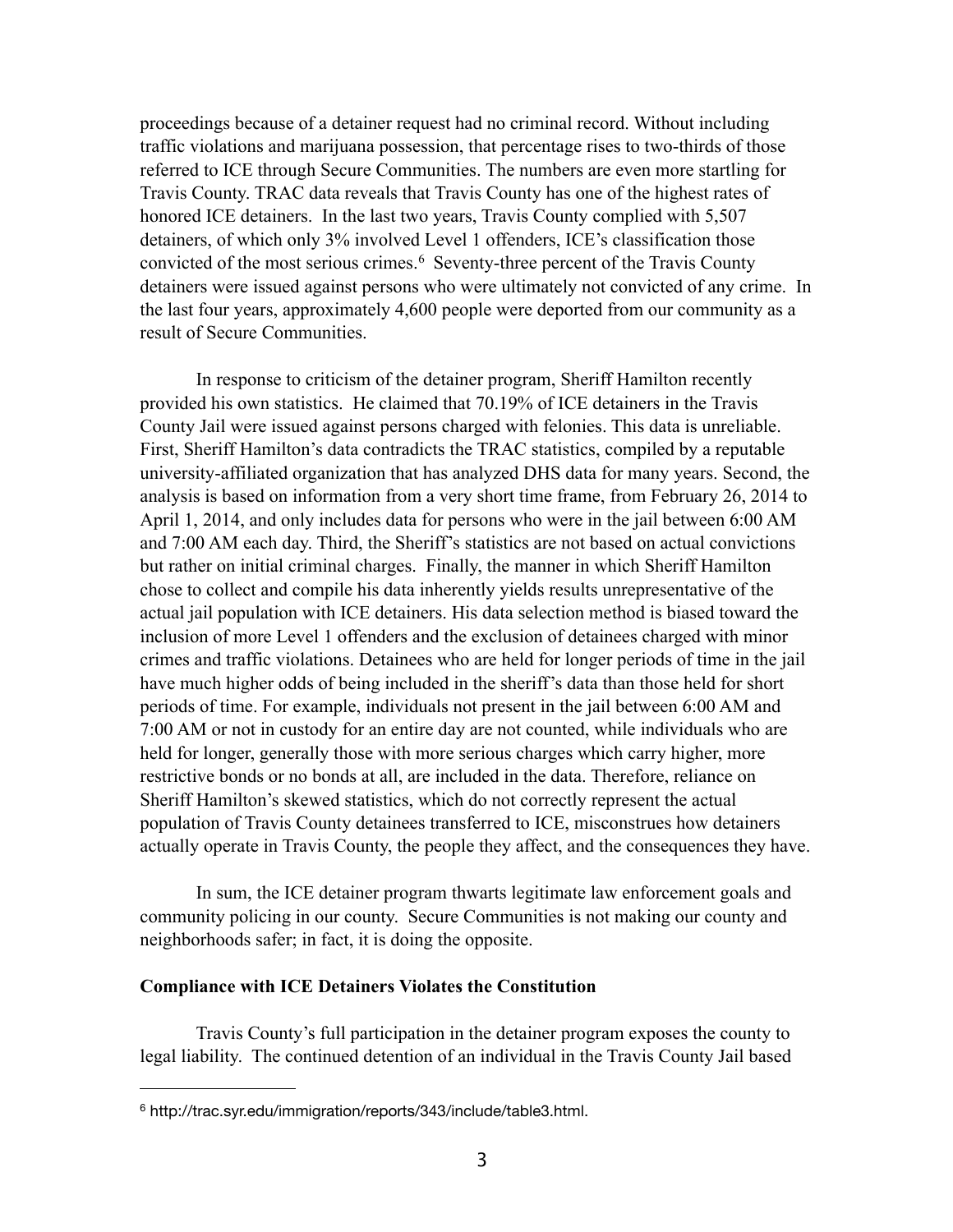proceedings because of a detainer request had no criminal record. Without including traffic violations and marijuana possession, that percentage rises to two-thirds of those referred to ICE through Secure Communities. The numbers are even more startling for Travis County. TRAC data reveals that Travis County has one of the highest rates of honored ICE detainers. In the last two years, Travis County complied with 5,507 detainers, of which only 3% involved Level 1 offenders, ICE's classification those convicted of the most serious crimes.<sup>6</sup> Seventy-three percent of the Travis County detainers were issued against persons who were ultimately not convicted of any crime. In the last four years, approximately 4,600 people were deported from our community as a result of Secure Communities.

In response to criticism of the detainer program, Sheriff Hamilton recently provided his own statistics. He claimed that 70.19% of ICE detainers in the Travis County Jail were issued against persons charged with felonies. This data is unreliable. First, Sheriff Hamilton's data contradicts the TRAC statistics, compiled by a reputable university-affiliated organization that has analyzed DHS data for many years. Second, the analysis is based on information from a very short time frame, from February 26, 2014 to April 1, 2014, and only includes data for persons who were in the jail between 6:00 AM and 7:00 AM each day. Third, the Sheriff's statistics are not based on actual convictions but rather on initial criminal charges. Finally, the manner in which Sheriff Hamilton chose to collect and compile his data inherently yields results unrepresentative of the actual jail population with ICE detainers. His data selection method is biased toward the inclusion of more Level 1 offenders and the exclusion of detainees charged with minor crimes and traffic violations. Detainees who are held for longer periods of time in the jail have much higher odds of being included in the sheriff's data than those held for short periods of time. For example, individuals not present in the jail between 6:00 AM and 7:00 AM or not in custody for an entire day are not counted, while individuals who are held for longer, generally those with more serious charges which carry higher, more restrictive bonds or no bonds at all, are included in the data. Therefore, reliance on Sheriff Hamilton's skewed statistics, which do not correctly represent the actual population of Travis County detainees transferred to ICE, misconstrues how detainers actually operate in Travis County, the people they affect, and the consequences they have.

In sum, the ICE detainer program thwarts legitimate law enforcement goals and community policing in our county. Secure Communities is not making our county and neighborhoods safer; in fact, it is doing the opposite.

### **Compliance with ICE Detainers Violates the Constitution**

Travis County's full participation in the detainer program exposes the county to legal liability. The continued detention of an individual in the Travis County Jail based

<span id="page-2-0"></span><sup>6</sup> <http://trac.syr.edu/immigration/reports/343/include/table3.html>.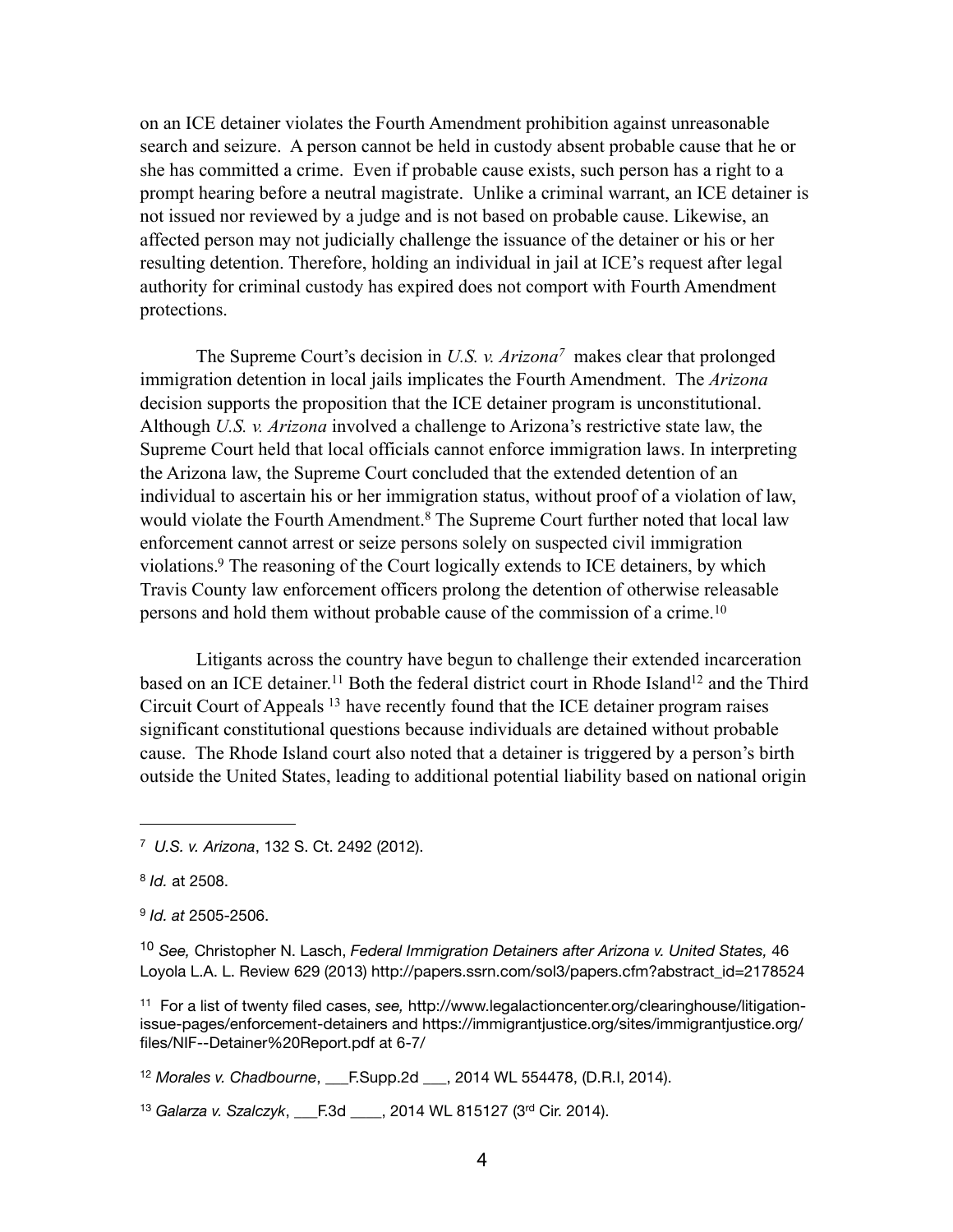on an ICE detainer violates the Fourth Amendment prohibition against unreasonable search and seizure. A person cannot be held in custody absent probable cause that he or she has committed a crime. Even if probable cause exists, such person has a right to a prompt hearing before a neutral magistrate. Unlike a criminal warrant, an ICE detainer is not issued nor reviewed by a judge and is not based on probable cause. Likewise, an affected person may not judicially challenge the issuance of the detainer or his or her resulting detention. Therefore, holding an individual in jail at ICE's request after legal authority for criminal custody has expired does not comport with Fourth Amendment protections.

The Supreme Court's decision in *U.S. v. Arizona[7](#page-3-0)* makes clear that prolonged immigration detention in local jails implicates the Fourth Amendment. The *Arizona*  decision supports the proposition that the ICE detainer program is unconstitutional. Although *U.S. v. Arizona* involved a challenge to Arizona's restrictive state law, the Supreme Court held that local officials cannot enforce immigration laws. In interpreting the Arizona law, the Supreme Court concluded that the extended detention of an individual to ascertain his or her immigration status, without proof of a violation of law, would violate the Fourth Amendment.<sup>8</sup> The Supreme Court further noted that local law enforcement cannot arrest or seize persons solely on suspected civil immigration violations[.9](#page-3-2) The reasoning of the Court logically extends to ICE detainers, by which Travis County law enforcement officers prolong the detention of otherwise releasable persons and hold them without probable cause of the commission of a crime.[10](#page-3-3)

Litigants across the country have begun to challenge their extended incarceration based on an ICE detainer.<sup>11</sup> Both the federal district court in Rhode Island<sup>12</sup> and the Third Circuit Court of Appeals [13](#page-3-6) have recently found that the ICE detainer program raises significant constitutional questions because individuals are detained without probable cause. The Rhode Island court also noted that a detainer is triggered by a person's birth outside the United States, leading to additional potential liability based on national origin

<span id="page-3-5"></span><sup>12</sup> *Morales v. Chadbourne*, \_\_\_F.Supp.2d \_\_\_, 2014 WL 554478, (D.R.I, 2014).

<span id="page-3-6"></span><sup>13</sup> *Galarza v. Szalczyk*, \_\_\_F.3d \_\_\_\_, 2014 WL 815127 (3rd Cir. 2014).

<span id="page-3-0"></span><sup>7</sup> *U.S. v. Arizona*, 132 S. Ct. 2492 (2012).

<span id="page-3-1"></span><sup>8</sup> *Id.* at 2508.

<span id="page-3-2"></span><sup>9</sup> *Id. at* 2505-2506.

<span id="page-3-3"></span><sup>10</sup> *See,* Christopher N. Lasch, *Federal Immigration Detainers after Arizona v. United States,* 46 Loyola L.A. L. Review 629 (2013) http://papers.ssrn.com/sol3/papers.cfm?abstract\_id=2178524

<span id="page-3-4"></span><sup>11</sup> For a list of twenty filed cases, *see,* [http://www.legalactioncenter.org/clearinghouse/litigation](http://www.legalactioncenter.org/clearinghouse/litigation-issue-pages/enforcement-detainers)[issue-pages/enforcement-detainers](http://www.legalactioncenter.org/clearinghouse/litigation-issue-pages/enforcement-detainers) and [https://immigrantjustice.org/sites/immigrantjustice.org/](https://immigrantjustice.org/sites/immigrantjustice.org/files/NIF--Detainer%20Report.pdf) [files/NIF--Detainer%20Report.pdf](https://immigrantjustice.org/sites/immigrantjustice.org/files/NIF--Detainer%20Report.pdf) at 6-7/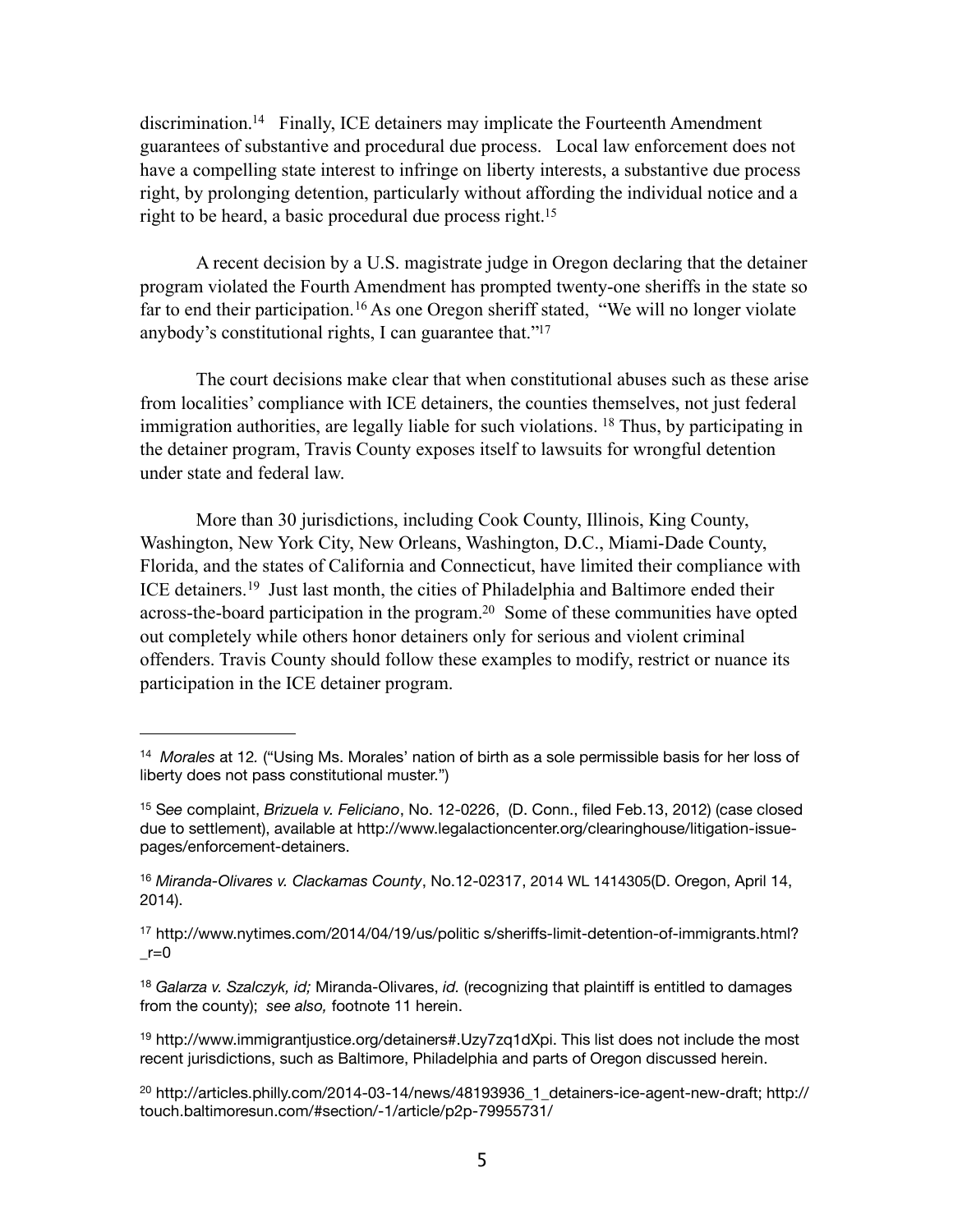discrimination[.14](#page-4-0) Finally, ICE detainers may implicate the Fourteenth Amendment guarantees of substantive and procedural due process. Local law enforcement does not have a compelling state interest to infringe on liberty interests, a substantive due process right, by prolonging detention, particularly without affording the individual notice and a right to be heard, a basic procedural due process right[.15](#page-4-1)

A recent decision by a U.S. magistrate judge in Oregon declaring that the detainer program violated the Fourth Amendment has prompted twenty-one sheriffs in the state so far to end their participation.<sup>16</sup> As one Oregon sheriff stated, "We will no longer violate anybody's constitutional rights, I can guarantee that.["17](#page-4-3)

The court decisions make clear that when constitutional abuses such as these arise from localities' compliance with ICE detainers, the counties themselves, not just federal immigration authorities, are legally liable for such violations. <sup>18</sup> Thus, by participating in the detainer program, Travis County exposes itself to lawsuits for wrongful detention under state and federal law.

More than 30 jurisdictions, including Cook County, Illinois, King County, Washington, New York City, New Orleans, Washington, D.C., Miami-Dade County, Florida, and the states of California and Connecticut, have limited their compliance with ICE detainers.[19](#page-4-5) Just last month, the cities of Philadelphia and Baltimore ended their across-the-board participation in the program[.20](#page-4-6) Some of these communities have opted out completely while others honor detainers only for serious and violent criminal offenders. Travis County should follow these examples to modify, restrict or nuance its participation in the ICE detainer program.

<span id="page-4-0"></span><sup>14</sup> *Morales* at 12*.* ("Using Ms. Morales' nation of birth as a sole permissible basis for her loss of liberty does not pass constitutional muster.")

<span id="page-4-1"></span><sup>15</sup> S*ee* complaint, *Brizuela v. Feliciano*, No. 12-0226, (D. Conn., filed Feb.13, 2012) (case closed due to settlement), available at http://www.legalactioncenter.org/clearinghouse/litigation-issuepages/enforcement-detainers.

<span id="page-4-2"></span><sup>16</sup> *Miranda-Olivares v. Clackamas County*, No.12-02317, 2014 WL 1414305(D. Oregon, April 14, 2014).

<span id="page-4-3"></span><sup>17</sup> <http://www.nytimes.com/2014/04/19/us/politic> s/sheriffs-limit-detention-of-immigrants.html?  $r=0$ 

<span id="page-4-4"></span><sup>18</sup> *Galarza v. Szalczyk, id;* Miranda-Olivares, *id.* (recognizing that plaintiff is entitled to damages from the county); *see also,* footnote 11 herein.

<span id="page-4-5"></span><sup>19</sup> <http://www.immigrantjustice.org/detainers#.Uzy7zq1dXpi>. This list does not include the most recent jurisdictions, such as Baltimore, Philadelphia and parts of Oregon discussed herein.

<span id="page-4-6"></span> $^{20}$  [http://articles.philly.com/2014-03-14/news/48193936\\_1\\_detainers-ice-agent-new-draft](http://articles.philly.com/2014-03-14/news/48193936_1_detainers-ice-agent-new-draft); http:// touch.baltimoresun.com/#section/-1/article/p2p-79955731/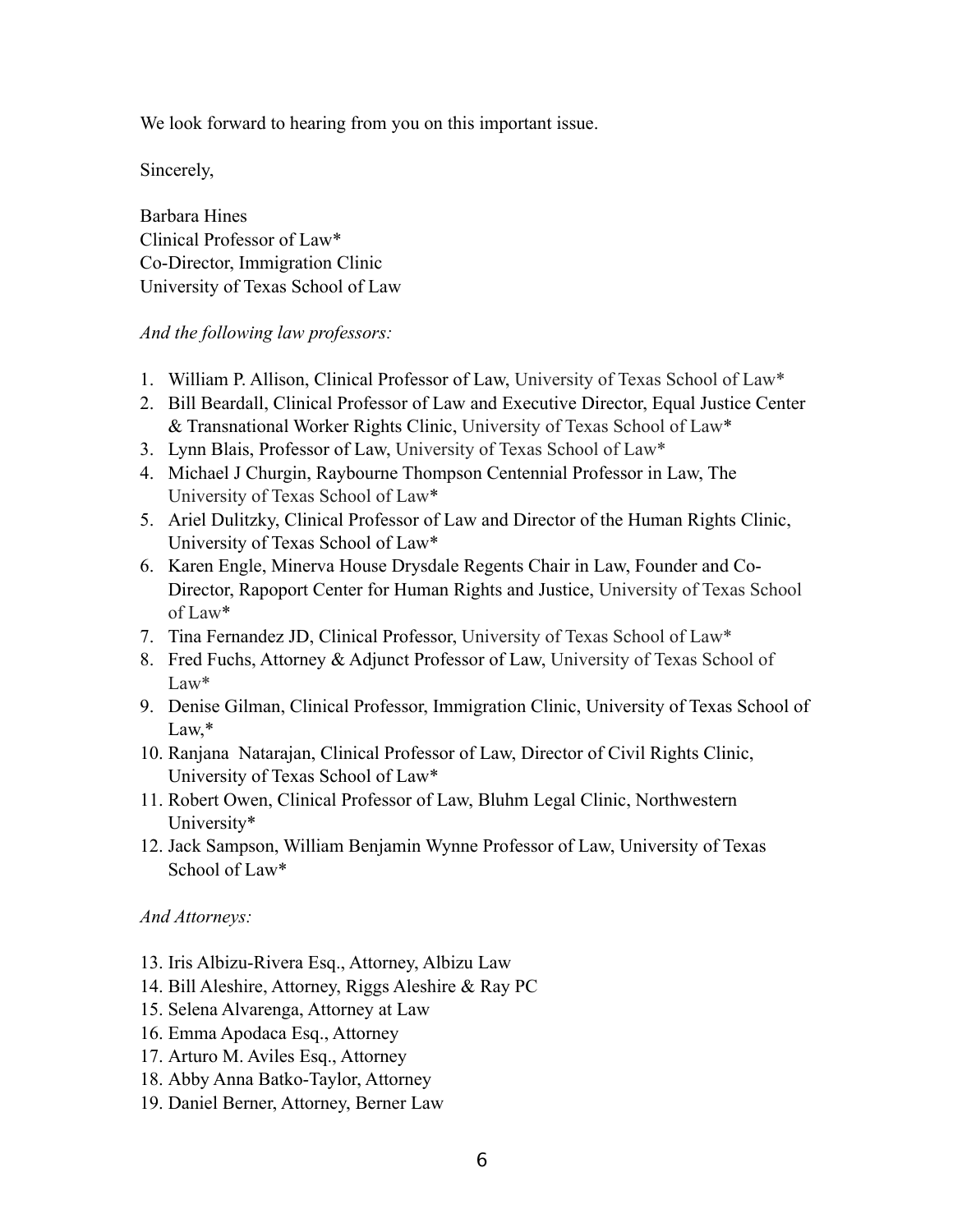We look forward to hearing from you on this important issue.

Sincerely,

Barbara Hines Clinical Professor of Law\* Co-Director, Immigration Clinic University of Texas School of Law

## *And the following law professors:*

- 1. William P. Allison, Clinical Professor of Law, University of Texas School of Law\*
- 2. Bill Beardall, Clinical Professor of Law and Executive Director, Equal Justice Center & Transnational Worker Rights Clinic, University of Texas School of Law\*
- 3. Lynn Blais, Professor of Law, University of Texas School of Law\*
- 4. Michael J Churgin, Raybourne Thompson Centennial Professor in Law, The University of Texas School of Law\*
- 5. Ariel Dulitzky, Clinical Professor of Law and Director of the Human Rights Clinic, University of Texas School of Law\*
- 6. Karen Engle, Minerva House Drysdale Regents Chair in Law, Founder and Co-Director, Rapoport Center for Human Rights and Justice, University of Texas School of Law\*
- 7. Tina Fernandez JD, Clinical Professor, University of Texas School of Law\*
- 8. Fred Fuchs, Attorney & Adjunct Professor of Law, University of Texas School of Law\*
- 9. Denise Gilman, Clinical Professor, Immigration Clinic, University of Texas School of Law,\*
- 10. Ranjana Natarajan, Clinical Professor of Law, Director of Civil Rights Clinic, University of Texas School of Law\*
- 11. Robert Owen, Clinical Professor of Law, Bluhm Legal Clinic, Northwestern University\*
- 12. Jack Sampson, William Benjamin Wynne Professor of Law, University of Texas School of Law\*

# *And Attorneys:*

- 13. Iris Albizu-Rivera Esq., Attorney, Albizu Law
- 14. Bill Aleshire, Attorney, Riggs Aleshire & Ray PC
- 15. Selena Alvarenga, Attorney at Law
- 16. Emma Apodaca Esq., Attorney
- 17. Arturo M. Aviles Esq., Attorney
- 18. Abby Anna Batko-Taylor, Attorney
- 19. Daniel Berner, Attorney, Berner Law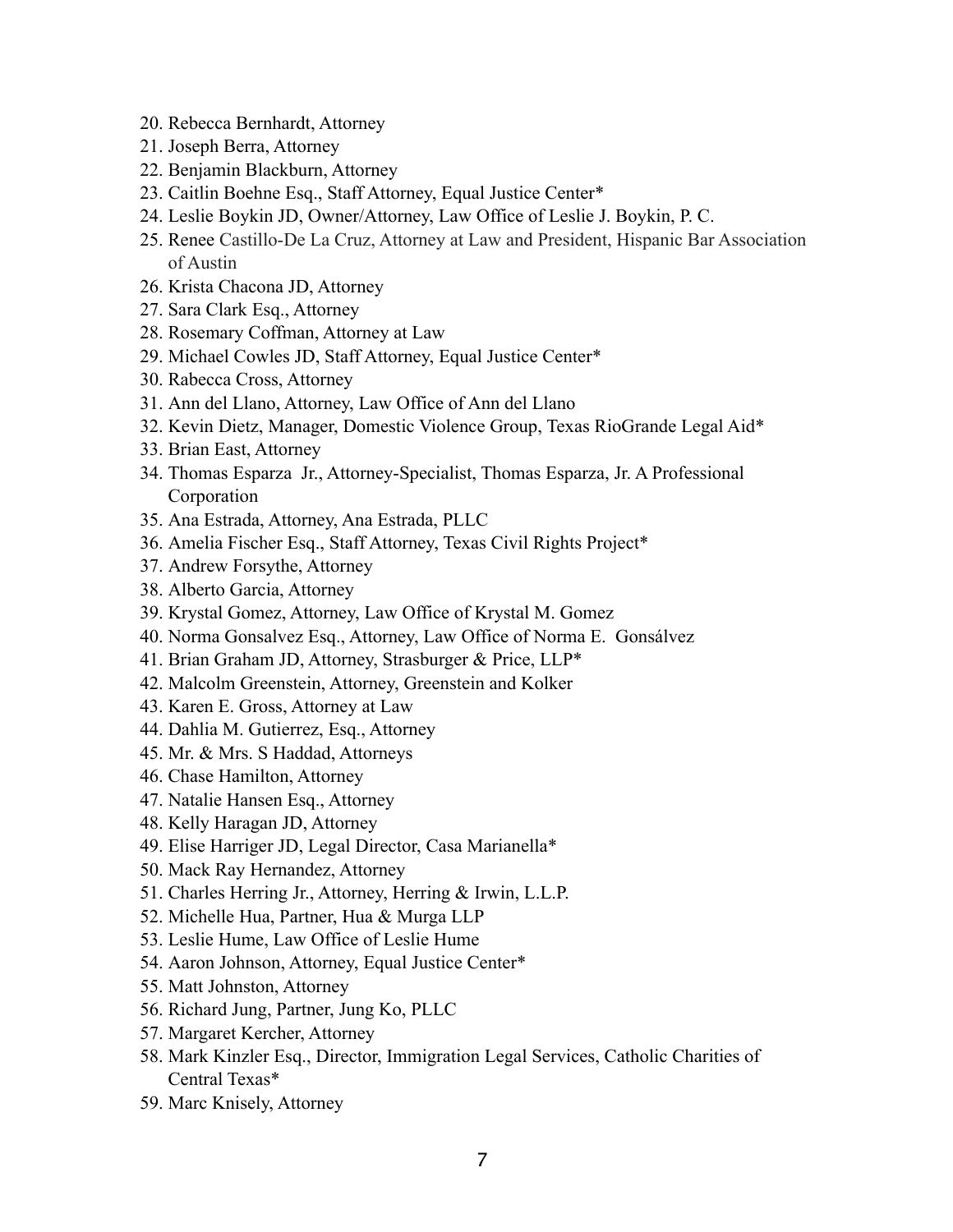- 20. Rebecca Bernhardt, Attorney
- 21. Joseph Berra, Attorney
- 22. Benjamin Blackburn, Attorney
- 23. Caitlin Boehne Esq., Staff Attorney, Equal Justice Center\*
- 24. Leslie Boykin JD, Owner/Attorney, Law Office of Leslie J. Boykin, P. C.
- 25. Renee Castillo-De La Cruz, Attorney at Law and President, Hispanic Bar Association of Austin
- 26. Krista Chacona JD, Attorney
- 27. Sara Clark Esq., Attorney
- 28. Rosemary Coffman, Attorney at Law
- 29. Michael Cowles JD, Staff Attorney, Equal Justice Center\*
- 30. Rabecca Cross, Attorney
- 31. Ann del Llano, Attorney, Law Office of Ann del Llano
- 32. Kevin Dietz, Manager, Domestic Violence Group, Texas RioGrande Legal Aid\*
- 33. Brian East, Attorney
- 34. Thomas Esparza Jr., Attorney-Specialist, Thomas Esparza, Jr. A Professional Corporation
- 35. Ana Estrada, Attorney, Ana Estrada, PLLC
- 36. Amelia Fischer Esq., Staff Attorney, Texas Civil Rights Project\*
- 37. Andrew Forsythe, Attorney
- 38. Alberto Garcia, Attorney
- 39. Krystal Gomez, Attorney, Law Office of Krystal M. Gomez
- 40. Norma Gonsalvez Esq., Attorney, Law Office of Norma E. Gonsálvez
- 41. Brian Graham JD, Attorney, Strasburger & Price, LLP\*
- 42. Malcolm Greenstein, Attorney, Greenstein and Kolker
- 43. Karen E. Gross, Attorney at Law
- 44. Dahlia M. Gutierrez, Esq., Attorney
- 45. Mr. & Mrs. S Haddad, Attorneys
- 46. Chase Hamilton, Attorney
- 47. Natalie Hansen Esq., Attorney
- 48. Kelly Haragan JD, Attorney
- 49. Elise Harriger JD, Legal Director, Casa Marianella\*
- 50. Mack Ray Hernandez, Attorney
- 51. Charles Herring Jr., Attorney, Herring & Irwin, L.L.P.
- 52. Michelle Hua, Partner, Hua & Murga LLP
- 53. Leslie Hume, Law Office of Leslie Hume
- 54. Aaron Johnson, Attorney, Equal Justice Center\*
- 55. Matt Johnston, Attorney
- 56. Richard Jung, Partner, Jung Ko, PLLC
- 57. Margaret Kercher, Attorney
- 58. Mark Kinzler Esq., Director, Immigration Legal Services, Catholic Charities of Central Texas\*
- 59. Marc Knisely, Attorney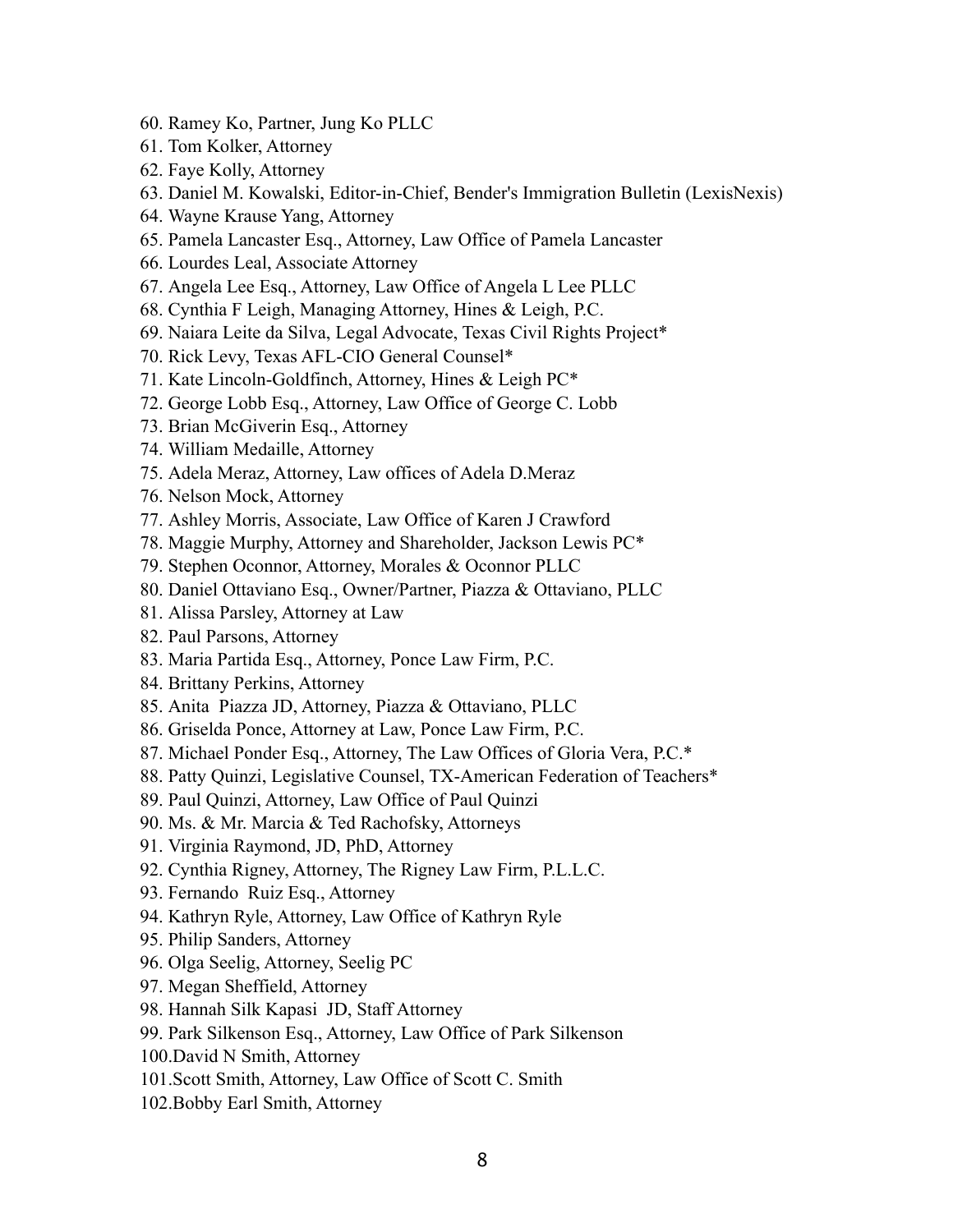- 60. Ramey Ko, Partner, Jung Ko PLLC
- 61. Tom Kolker, Attorney
- 62. Faye Kolly, Attorney
- 63. Daniel M. Kowalski, Editor-in-Chief, Bender's Immigration Bulletin (LexisNexis)
- 64. Wayne Krause Yang, Attorney
- 65. Pamela Lancaster Esq., Attorney, Law Office of Pamela Lancaster
- 66. Lourdes Leal, Associate Attorney
- 67. Angela Lee Esq., Attorney, Law Office of Angela L Lee PLLC
- 68. Cynthia F Leigh, Managing Attorney, Hines & Leigh, P.C.
- 69. Naiara Leite da Silva, Legal Advocate, Texas Civil Rights Project\*
- 70. Rick Levy, Texas AFL-CIO General Counsel\*
- 71. Kate Lincoln-Goldfinch, Attorney, Hines & Leigh PC\*
- 72. George Lobb Esq., Attorney, Law Office of George C. Lobb
- 73. Brian McGiverin Esq., Attorney
- 74. William Medaille, Attorney
- 75. Adela Meraz, Attorney, Law offices of Adela D.Meraz
- 76. Nelson Mock, Attorney
- 77. Ashley Morris, Associate, Law Office of Karen J Crawford
- 78. Maggie Murphy, Attorney and Shareholder, Jackson Lewis PC\*
- 79. Stephen Oconnor, Attorney, Morales & Oconnor PLLC
- 80. Daniel Ottaviano Esq., Owner/Partner, Piazza & Ottaviano, PLLC
- 81. Alissa Parsley, Attorney at Law
- 82. Paul Parsons, Attorney
- 83. Maria Partida Esq., Attorney, Ponce Law Firm, P.C.
- 84. Brittany Perkins, Attorney
- 85. Anita Piazza JD, Attorney, Piazza & Ottaviano, PLLC
- 86. Griselda Ponce, Attorney at Law, Ponce Law Firm, P.C.
- 87. Michael Ponder Esq., Attorney, The Law Offices of Gloria Vera, P.C.\*
- 88. Patty Quinzi, Legislative Counsel, TX-American Federation of Teachers\*
- 89. Paul Quinzi, Attorney, Law Office of Paul Quinzi
- 90. Ms. & Mr. Marcia & Ted Rachofsky, Attorneys
- 91. Virginia Raymond, JD, PhD, Attorney
- 92. Cynthia Rigney, Attorney, The Rigney Law Firm, P.L.L.C.
- 93. Fernando Ruiz Esq., Attorney
- 94. Kathryn Ryle, Attorney, Law Office of Kathryn Ryle
- 95. Philip Sanders, Attorney
- 96. Olga Seelig, Attorney, Seelig PC
- 97. Megan Sheffield, Attorney
- 98. Hannah Silk Kapasi JD, Staff Attorney
- 99. Park Silkenson Esq., Attorney, Law Office of Park Silkenson
- 100.David N Smith, Attorney
- 101.Scott Smith, Attorney, Law Office of Scott C. Smith
- 102.Bobby Earl Smith, Attorney